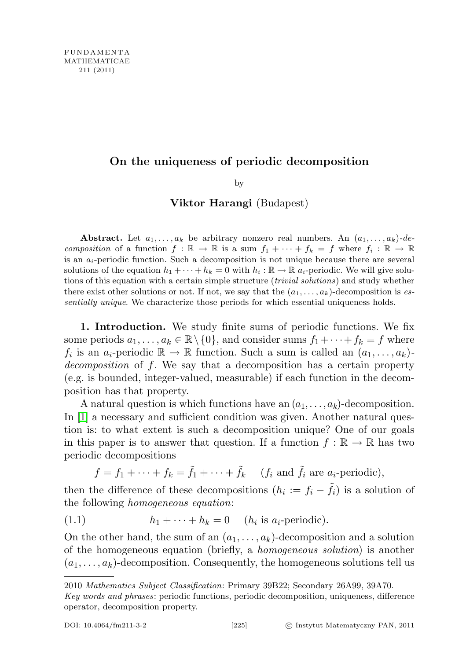## On the uniqueness of periodic decomposition

by

## Viktor Harangi (Budapest)

Abstract. Let  $a_1, \ldots, a_k$  be arbitrary nonzero real numbers. An  $(a_1, \ldots, a_k)$ -decomposition of a function  $f : \mathbb{R} \to \mathbb{R}$  is a sum  $f_1 + \cdots + f_k = f$  where  $f_i : \mathbb{R} \to \mathbb{R}$ is an  $a_i$ -periodic function. Such a decomposition is not unique because there are several solutions of the equation  $h_1 + \cdots + h_k = 0$  with  $h_i : \mathbb{R} \to \mathbb{R}$  a<sub>i</sub>-periodic. We will give solutions of this equation with a certain simple structure (trivial solutions) and study whether there exist other solutions or not. If not, we say that the  $(a_1, \ldots, a_k)$ -decomposition is essentially unique. We characterize those periods for which essential uniqueness holds.

1. Introduction. We study finite sums of periodic functions. We fix some periods  $a_1, \ldots, a_k \in \mathbb{R} \setminus \{0\}$ , and consider sums  $f_1 + \cdots + f_k = f$  where  $f_i$  is an  $a_i$ -periodic  $\mathbb{R} \to \mathbb{R}$  function. Such a sum is called an  $(a_1, \ldots, a_k)$ . decomposition of f. We say that a decomposition has a certain property (e.g. is bounded, integer-valued, measurable) if each function in the decomposition has that property.

A natural question is which functions have an  $(a_1, \ldots, a_k)$ -decomposition. In [\[1\]](#page-19-0) a necessary and sufficient condition was given. Another natural question is: to what extent is such a decomposition unique? One of our goals in this paper is to answer that question. If a function  $f : \mathbb{R} \to \mathbb{R}$  has two periodic decompositions

<span id="page-0-0"></span>
$$
f = f_1 + \cdots + f_k = \tilde{f}_1 + \cdots + \tilde{f}_k
$$
 (*f<sub>i</sub>* and  $\tilde{f}_i$  are  $a_i$ -periodic),

then the difference of these decompositions  $(h_i := f_i - \tilde{f}_i)$  is a solution of the following homogeneous equation:

(1.1) 
$$
h_1 + \cdots + h_k = 0 \quad (h_i \text{ is } a_i\text{-periodic}).
$$

On the other hand, the sum of an  $(a_1, \ldots, a_k)$ -decomposition and a solution of the homogeneous equation (briefly, a homogeneous solution) is another  $(a_1, \ldots, a_k)$ -decomposition. Consequently, the homogeneous solutions tell us

<sup>2010</sup> Mathematics Subject Classification: Primary 39B22; Secondary 26A99, 39A70.

Key words and phrases: periodic functions, periodic decomposition, uniqueness, difference operator, decomposition property.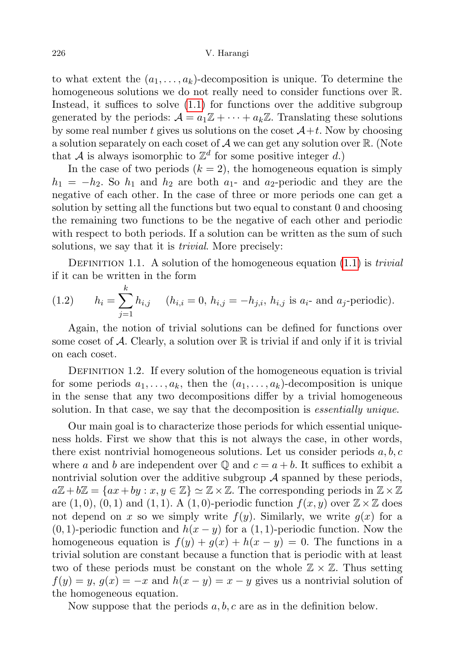## 226 V. Harangi

to what extent the  $(a_1, \ldots, a_k)$ -decomposition is unique. To determine the homogeneous solutions we do not really need to consider functions over R. Instead, it suffices to solve [\(1.1\)](#page-0-0) for functions over the additive subgroup generated by the periods:  $\mathcal{A} = a_1 \mathbb{Z} + \cdots + a_k \mathbb{Z}$ . Translating these solutions by some real number t gives us solutions on the coset  $\mathcal{A}+t$ . Now by choosing a solution separately on each coset of  $A$  we can get any solution over  $\mathbb{R}$ . (Note that A is always isomorphic to  $\mathbb{Z}^d$  for some positive integer d.)

In the case of two periods  $(k = 2)$ , the homogeneous equation is simply  $h_1 = -h_2$ . So  $h_1$  and  $h_2$  are both  $a_1$ - and  $a_2$ -periodic and they are the negative of each other. In the case of three or more periods one can get a solution by setting all the functions but two equal to constant 0 and choosing the remaining two functions to be the negative of each other and periodic with respect to both periods. If a solution can be written as the sum of such solutions, we say that it is *trivial*. More precisely:

DEFINITION 1.1. A solution of the homogeneous equation  $(1.1)$  is *trivial* if it can be written in the form

<span id="page-1-0"></span>(1.2) 
$$
h_i = \sum_{j=1}^k h_{i,j} \quad (h_{i,i} = 0, h_{i,j} = -h_{j,i}, h_{i,j} \text{ is } a_i \text{- and } a_j \text{-periodic}).
$$

Again, the notion of trivial solutions can be defined for functions over some coset of A. Clearly, a solution over  $\mathbb R$  is trivial if and only if it is trivial on each coset.

DEFINITION 1.2. If every solution of the homogeneous equation is trivial for some periods  $a_1, \ldots, a_k$ , then the  $(a_1, \ldots, a_k)$ -decomposition is unique in the sense that any two decompositions differ by a trivial homogeneous solution. In that case, we say that the decomposition is *essentially unique*.

Our main goal is to characterize those periods for which essential uniqueness holds. First we show that this is not always the case, in other words, there exist nontrivial homogeneous solutions. Let us consider periods  $a, b, c$ where a and b are independent over  $\mathbb Q$  and  $c = a + b$ . It suffices to exhibit a nontrivial solution over the additive subgroup  $\mathcal A$  spanned by these periods,  $a\mathbb{Z}+b\mathbb{Z}=\{ax+by:x,y\in\mathbb{Z}\}\simeq\mathbb{Z}\times\mathbb{Z}$ . The corresponding periods in  $\mathbb{Z}\times\mathbb{Z}$ are  $(1,0), (0,1)$  and  $(1,1)$ . A  $(1,0)$ -periodic function  $f(x, y)$  over  $\mathbb{Z} \times \mathbb{Z}$  does not depend on x so we simply write  $f(y)$ . Similarly, we write  $g(x)$  for a  $(0, 1)$ -periodic function and  $h(x - y)$  for a  $(1, 1)$ -periodic function. Now the homogeneous equation is  $f(y) + g(x) + h(x - y) = 0$ . The functions in a trivial solution are constant because a function that is periodic with at least two of these periods must be constant on the whole  $\mathbb{Z} \times \mathbb{Z}$ . Thus setting  $f(y) = y, g(x) = -x$  and  $h(x - y) = x - y$  gives us a nontrivial solution of the homogeneous equation.

Now suppose that the periods  $a, b, c$  are as in the definition below.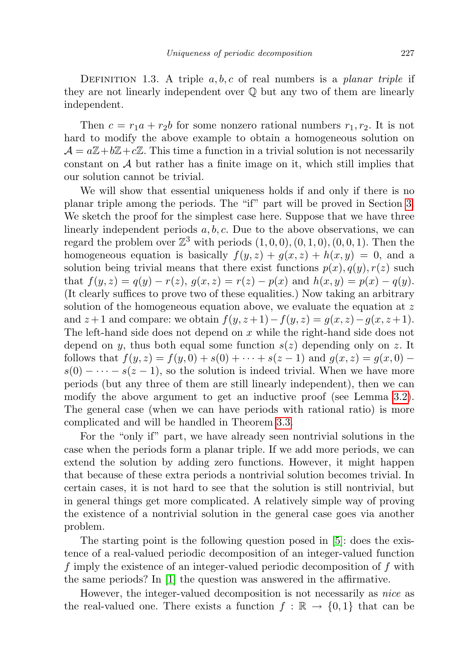DEFINITION 1.3. A triple  $a, b, c$  of real numbers is a *planar triple* if they are not linearly independent over Q but any two of them are linearly independent.

Then  $c = r_1a + r_2b$  for some nonzero rational numbers  $r_1, r_2$ . It is not hard to modify the above example to obtain a homogeneous solution on  $\mathcal{A} = a\mathbb{Z} + b\mathbb{Z} + c\mathbb{Z}$ . This time a function in a trivial solution is not necessarily constant on  $A$  but rather has a finite image on it, which still implies that our solution cannot be trivial.

We will show that essential uniqueness holds if and only if there is no planar triple among the periods. The "if" part will be proved in Section [3.](#page-7-0) We sketch the proof for the simplest case here. Suppose that we have three linearly independent periods  $a, b, c$ . Due to the above observations, we can regard the problem over  $\mathbb{Z}^3$  with periods  $(1,0,0), (0,1,0), (0,0,1)$ . Then the homogeneous equation is basically  $f(y, z) + g(x, z) + h(x, y) = 0$ , and a solution being trivial means that there exist functions  $p(x), q(y), r(z)$  such that  $f(y, z) = q(y) - r(z)$ ,  $g(x, z) = r(z) - p(x)$  and  $h(x, y) = p(x) - q(y)$ . (It clearly suffices to prove two of these equalities.) Now taking an arbitrary solution of the homogeneous equation above, we evaluate the equation at  $z$ and  $z+1$  and compare: we obtain  $f(y, z+1) - f(y, z) = g(x, z) - g(x, z+1)$ . The left-hand side does not depend on x while the right-hand side does not depend on y, thus both equal some function  $s(z)$  depending only on z. It follows that  $f(y, z) = f(y, 0) + s(0) + \cdots + s(z - 1)$  and  $g(x, z) = g(x, 0)$  $s(0)$  – · · · –  $s(z-1)$ , so the solution is indeed trivial. When we have more periods (but any three of them are still linearly independent), then we can modify the above argument to get an inductive proof (see Lemma [3.2\)](#page-8-0). The general case (when we can have periods with rational ratio) is more complicated and will be handled in Theorem [3.3.](#page-9-0)

For the "only if" part, we have already seen nontrivial solutions in the case when the periods form a planar triple. If we add more periods, we can extend the solution by adding zero functions. However, it might happen that because of these extra periods a nontrivial solution becomes trivial. In certain cases, it is not hard to see that the solution is still nontrivial, but in general things get more complicated. A relatively simple way of proving the existence of a nontrivial solution in the general case goes via another problem.

The starting point is the following question posed in [\[5\]](#page-19-1): does the existence of a real-valued periodic decomposition of an integer-valued function f imply the existence of an integer-valued periodic decomposition of f with the same periods? In [\[1\]](#page-19-0) the question was answered in the affirmative.

However, the integer-valued decomposition is not necessarily as *nice* as the real-valued one. There exists a function  $f : \mathbb{R} \to \{0,1\}$  that can be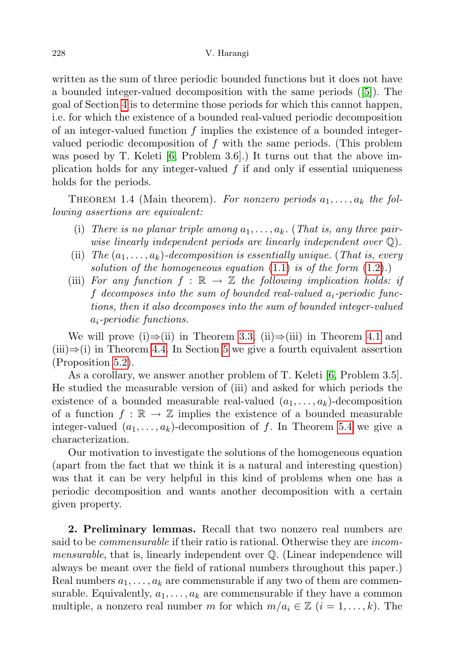written as the sum of three periodic bounded functions but it does not have a bounded integer-valued decomposition with the same periods ([\[5\]](#page-19-1)). The goal of Section [4](#page-11-0) is to determine those periods for which this cannot happen, i.e. for which the existence of a bounded real-valued periodic decomposition of an integer-valued function  $f$  implies the existence of a bounded integervalued periodic decomposition of  $f$  with the same periods. (This problem was posed by T. Keleti  $[6, Problem 3.6]$  $[6, Problem 3.6]$ . It turns out that the above implication holds for any integer-valued  $f$  if and only if essential uniqueness holds for the periods.

<span id="page-3-0"></span>THEOREM 1.4 (Main theorem). For nonzero periods  $a_1, \ldots, a_k$  the following assertions are equivalent:

- (i) There is no planar triple among  $a_1, \ldots, a_k$ . (That is, any three pairwise linearly independent periods are linearly independent over Q).
- (ii) The  $(a_1, \ldots, a_k)$ -decomposition is essentially unique. (That is, every solution of the homogeneous equation  $(1.1)$  is of the form  $(1.2)$ .
- (iii) For any function  $f : \mathbb{R} \to \mathbb{Z}$  the following implication holds: if f decomposes into the sum of bounded real-valued  $a_i$ -periodic functions, then it also decomposes into the sum of bounded integer-valued ai-periodic functions.

We will prove (i)⇒(ii) in Theorem [3.3,](#page-9-0) (ii)⇒(iii) in Theorem [4.1](#page-11-1) and  $(iii) \Rightarrow (i)$  in Theorem [4.4.](#page-15-0) In Section [5](#page-16-0) we give a fourth equivalent assertion (Proposition [5.2\)](#page-16-1).

As a corollary, we answer another problem of T. Keleti [\[6,](#page-19-2) Problem 3.5]. He studied the measurable version of (iii) and asked for which periods the existence of a bounded measurable real-valued  $(a_1, \ldots, a_k)$ -decomposition of a function  $f : \mathbb{R} \to \mathbb{Z}$  implies the existence of a bounded measurable integer-valued  $(a_1, \ldots, a_k)$ -decomposition of f. In Theorem [5.4](#page-17-0) we give a characterization.

Our motivation to investigate the solutions of the homogeneous equation (apart from the fact that we think it is a natural and interesting question) was that it can be very helpful in this kind of problems when one has a periodic decomposition and wants another decomposition with a certain given property.

2. Preliminary lemmas. Recall that two nonzero real numbers are said to be commensurable if their ratio is rational. Otherwise they are incommensurable, that is, linearly independent over Q. (Linear independence will always be meant over the field of rational numbers throughout this paper.) Real numbers  $a_1, \ldots, a_k$  are commensurable if any two of them are commensurable. Equivalently,  $a_1, \ldots, a_k$  are commensurable if they have a common multiple, a nonzero real number m for which  $m/a_i \in \mathbb{Z}$   $(i = 1, ..., k)$ . The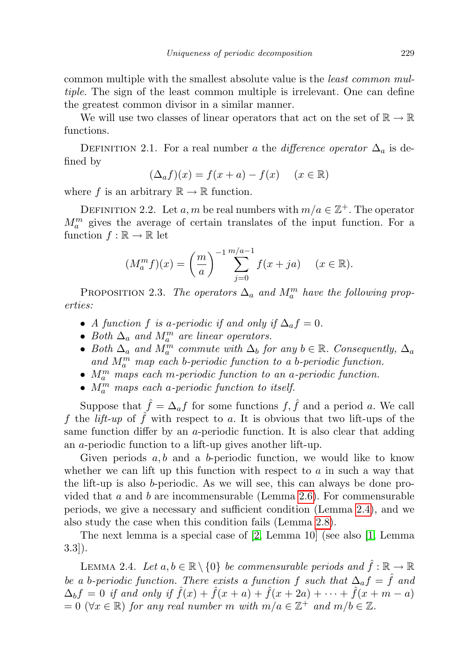common multiple with the smallest absolute value is the least common multiple. The sign of the least common multiple is irrelevant. One can define the greatest common divisor in a similar manner.

We will use two classes of linear operators that act on the set of  $\mathbb{R} \to \mathbb{R}$ functions.

DEFINITION 2.1. For a real number a the difference operator  $\Delta_a$  is defined by

$$
(\Delta_a f)(x) = f(x+a) - f(x) \quad (x \in \mathbb{R})
$$

where f is an arbitrary  $\mathbb{R} \to \mathbb{R}$  function.

DEFINITION 2.2. Let a, m be real numbers with  $m/a \in \mathbb{Z}^+$ . The operator  $M_a^m$  gives the average of certain translates of the input function. For a function  $f : \mathbb{R} \to \mathbb{R}$  let

$$
(M_a^m f)(x) = \left(\frac{m}{a}\right)^{-1} \sum_{j=0}^{m/a - 1} f(x + ja) \quad (x \in \mathbb{R}).
$$

<span id="page-4-1"></span>PROPOSITION 2.3. The operators  $\Delta_a$  and  $M_a^m$  have the following properties:

- A function f is a-periodic if and only if  $\Delta_a f = 0$ .
- Both  $\Delta_a$  and  $M_a^m$  are linear operators.
- Both  $\Delta_a$  and  $\overline{M}_a^m$  commute with  $\Delta_b$  for any  $b \in \mathbb{R}$ . Consequently,  $\Delta_a$ and  $M_a^m$  map each b-periodic function to a b-periodic function.
- $\bullet$   $M_{a}^{m}$  maps each m-periodic function to an a-periodic function.
- $M_a^m$  maps each a-periodic function to itself.

Suppose that  $\hat{f} = \Delta_a f$  for some functions  $f, \hat{f}$  and a period a. We call f the lift-up of  $\hat{f}$  with respect to a. It is obvious that two lift-ups of the same function differ by an a-periodic function. It is also clear that adding an a-periodic function to a lift-up gives another lift-up.

Given periods  $a, b$  and a b-periodic function, we would like to know whether we can lift up this function with respect to  $a$  in such a way that the lift-up is also b-periodic. As we will see, this can always be done pro-vided that a and b are incommensurable (Lemma [2.6\)](#page-5-0). For commensurable periods, we give a necessary and sufficient condition (Lemma [2.4\)](#page-4-0), and we also study the case when this condition fails (Lemma [2.8\)](#page-5-1).

The next lemma is a special case of [\[2,](#page-19-3) Lemma 10] (see also [\[1,](#page-19-0) Lemma 3.3]).

<span id="page-4-0"></span>LEMMA 2.4. Let  $a, b \in \mathbb{R} \setminus \{0\}$  be commensurable periods and  $\hat{f} : \mathbb{R} \to \mathbb{R}$ be a b-periodic function. There exists a function f such that  $\Delta_a f = \hat{f}$  and  $\Delta_b f = 0$  if and only if  $\hat{f}(x) + \hat{f}(x+a) + \hat{f}(x+2a) + \cdots + \hat{f}(x+m-a)$  $= 0 \ (\forall x \in \mathbb{R})$  for any real number m with  $m/a \in \mathbb{Z}^+$  and  $m/b \in \mathbb{Z}$ .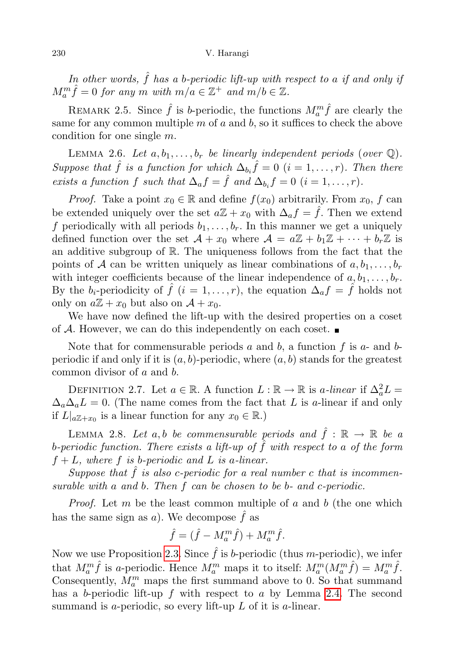In other words,  $\hat{f}$  has a b-periodic lift-up with respect to a if and only if  $M_a^m \hat{f} = 0$  for any m with  $m/a \in \mathbb{Z}^+$  and  $m/b \in \mathbb{Z}$ .

REMARK 2.5. Since  $\hat{f}$  is b-periodic, the functions  $M_a^m \hat{f}$  are clearly the same for any common multiple  $m$  of  $a$  and  $b$ , so it suffices to check the above condition for one single m.

<span id="page-5-0"></span>LEMMA 2.6. Let  $a, b_1, \ldots, b_r$  be linearly independent periods (over  $\mathbb{Q}$ ). Suppose that  $\hat{f}$  is a function for which  $\Delta_{b_i}\hat{f} = 0$   $(i = 1, \ldots, r)$ . Then there exists a function f such that  $\Delta_a f = \hat{f}$  and  $\Delta_{b_i} f = 0$   $(i = 1, ..., r)$ .

*Proof.* Take a point  $x_0 \in \mathbb{R}$  and define  $f(x_0)$  arbitrarily. From  $x_0$ , f can be extended uniquely over the set  $a\mathbb{Z} + x_0$  with  $\Delta_a f = \hat{f}$ . Then we extend f periodically with all periods  $b_1, \ldots, b_r$ . In this manner we get a uniquely defined function over the set  $\mathcal{A} + x_0$  where  $\mathcal{A} = a\mathbb{Z} + b_1\mathbb{Z} + \cdots + b_r\mathbb{Z}$  is an additive subgroup of R. The uniqueness follows from the fact that the points of A can be written uniquely as linear combinations of  $a, b_1, \ldots, b_r$ with integer coefficients because of the linear independence of  $a, b_1, \ldots, b_r$ . By the  $b_i$ -periodicity of  $\hat{f}$   $(i = 1, \ldots, r)$ , the equation  $\Delta_a f = \hat{f}$  holds not only on  $a\mathbb{Z}+x_0$  but also on  $\mathcal{A}+x_0$ .

We have now defined the lift-up with the desired properties on a coset of A. However, we can do this independently on each coset.  $\blacksquare$ 

Note that for commensurable periods a and b, a function f is a- and bperiodic if and only if it is  $(a, b)$ -periodic, where  $(a, b)$  stands for the greatest common divisor of a and b.

DEFINITION 2.7. Let  $a \in \mathbb{R}$ . A function  $L : \mathbb{R} \to \mathbb{R}$  is a-linear if  $\Delta_a^2 L =$  $\Delta_a\Delta_aL=0$ . (The name comes from the fact that L is a-linear if and only if  $L|_{a\mathbb{Z}+x_0}$  is a linear function for any  $x_0 \in \mathbb{R}$ .)

<span id="page-5-1"></span>LEMMA 2.8. Let a, b be commensurable periods and  $\hat{f}$  :  $\mathbb{R} \to \mathbb{R}$  be a b-periodic function. There exists a lift-up of  $\hat{f}$  with respect to a of the form  $f + L$ , where f is b-periodic and L is a-linear.

Suppose that  $f$  is also c-periodic for a real number  $c$  that is incommensurable with a and b. Then f can be chosen to be b- and c-periodic.

*Proof.* Let m be the least common multiple of a and b (the one which has the same sign as a). We decompose  $\hat{f}$  as

$$
\hat{f} = (\hat{f} - M_a^m \hat{f}) + M_a^m \hat{f}.
$$

Now we use Proposition [2.3.](#page-4-1) Since  $\hat{f}$  is b-periodic (thus m-periodic), we infer that  $M_a^m \hat{f}$  is a-periodic. Hence  $M_a^m$  maps it to itself:  $M_a^m(M_a^m \hat{f}) = M_a^m \hat{f}$ . Consequently,  $M_a^m$  maps the first summand above to 0. So that summand has a b-periodic lift-up  $f$  with respect to  $a$  by Lemma [2.4.](#page-4-0) The second summand is a-periodic, so every lift-up  $L$  of it is a-linear.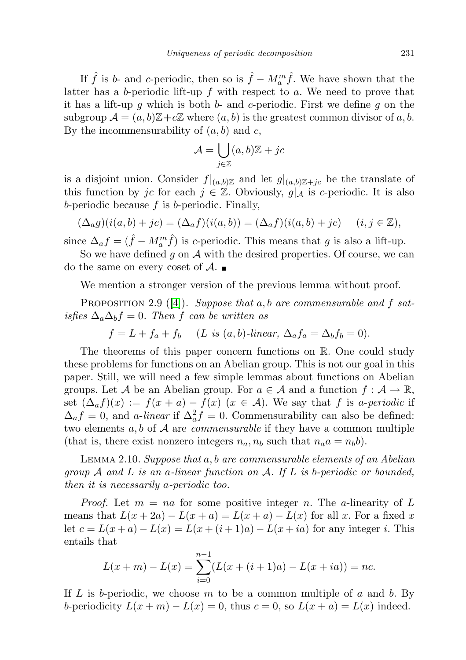If  $\hat{f}$  is b- and c-periodic, then so is  $\hat{f} - M_a^m \hat{f}$ . We have shown that the latter has a b-periodic lift-up  $f$  with respect to  $a$ . We need to prove that it has a lift-up q which is both b- and c-periodic. First we define q on the subgroup  $\mathcal{A} = (a, b)\mathbb{Z} + c\mathbb{Z}$  where  $(a, b)$  is the greatest common divisor of a, b. By the incommensurability of  $(a, b)$  and c,

$$
\mathcal{A} = \bigcup_{j \in \mathbb{Z}} (a, b)\mathbb{Z} + jc
$$

is a disjoint union. Consider  $f|_{(a,b)\mathbb{Z}}$  and let  $g|_{(a,b)\mathbb{Z}+jc}$  be the translate of this function by jc for each  $j \in \mathbb{Z}$ . Obviously,  $g|_{\mathcal{A}}$  is c-periodic. It is also b-periodic because  $f$  is b-periodic. Finally,

$$
(\Delta_a g)(i(a, b) + jc) = (\Delta_a f)(i(a, b)) = (\Delta_a f)(i(a, b) + jc) \quad (i, j \in \mathbb{Z}),
$$

since  $\Delta_a f = (\hat{f} - M_a^m \hat{f})$  is c-periodic. This means that g is also a lift-up.

So we have defined  $g$  on  $A$  with the desired properties. Of course, we can do the same on every coset of  $\mathcal{A}$ .

We mention a stronger version of the previous lemma without proof.

PROPOSITION 2.9 ([\[4\]](#page-19-4)). Suppose that  $a, b$  are commensurable and f satisfies  $\Delta_a \Delta_b f = 0$ . Then f can be written as

 $f = L + f_a + f_b$  (L is  $(a, b)$ -linear,  $\Delta_a f_a = \Delta_b f_b = 0$ ).

The theorems of this paper concern functions on R. One could study these problems for functions on an Abelian group. This is not our goal in this paper. Still, we will need a few simple lemmas about functions on Abelian groups. Let A be an Abelian group. For  $a \in \mathcal{A}$  and a function  $f : \mathcal{A} \to \mathbb{R}$ , set  $(\Delta_a f)(x) := f(x+a) - f(x)$   $(x \in \mathcal{A})$ . We say that f is a-periodic if  $\Delta_a f = 0$ , and *a-linear* if  $\Delta_a^2 f = 0$ . Commensurability can also be defined: two elements  $a, b$  of A are *commensurable* if they have a common multiple (that is, there exist nonzero integers  $n_a$ ,  $n_b$  such that  $n_a a = n_b b$ ).

<span id="page-6-0"></span>Lemma 2.10. Suppose that a, b are commensurable elements of an Abelian group  $\mathcal A$  and  $\mathcal L$  is an a-linear function on  $\mathcal A$ . If  $\mathcal L$  is b-periodic or bounded, then it is necessarily a-periodic too.

*Proof.* Let  $m = na$  for some positive integer n. The a-linearity of L means that  $L(x+2a) - L(x+a) = L(x+a) - L(x)$  for all x. For a fixed x let  $c = L(x+a) - L(x) = L(x+(i+1)a) - L(x+ia)$  for any integer i. This entails that

$$
L(x + m) - L(x) = \sum_{i=0}^{n-1} (L(x + (i+1)a) - L(x + ia)) = nc.
$$

If L is b-periodic, we choose m to be a common multiple of a and b. By b-periodicity  $L(x + m) - L(x) = 0$ , thus  $c = 0$ , so  $L(x + a) = L(x)$  indeed.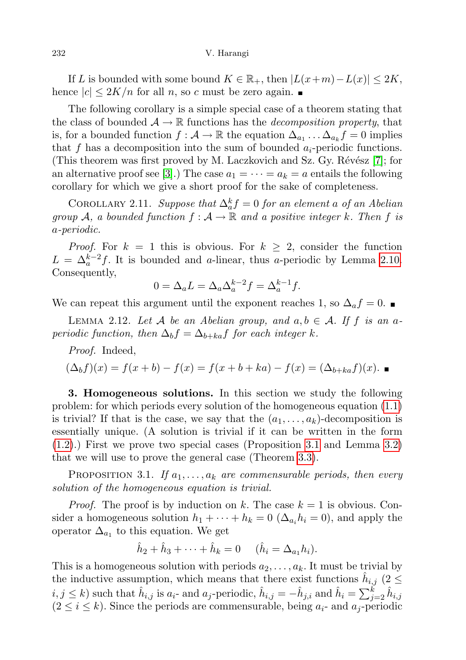If L is bounded with some bound  $K \in \mathbb{R}_+$ , then  $|L(x+m)-L(x)| \leq 2K$ , hence  $|c| \leq 2K/n$  for all n, so c must be zero again.

The following corollary is a simple special case of a theorem stating that the class of bounded  $\mathcal{A} \to \mathbb{R}$  functions has the *decomposition property*, that is, for a bounded function  $f: \mathcal{A} \to \mathbb{R}$  the equation  $\Delta_{a_1} \dots \Delta_{a_k} f = 0$  implies that f has a decomposition into the sum of bounded  $a_i$ -periodic functions. (This theorem was first proved by M. Laczkovich and Sz. Gy. Révész [\[7\]](#page-19-5); for an alternative proof see [\[3\]](#page-19-6).) The case  $a_1 = \cdots = a_k = a$  entails the following corollary for which we give a short proof for the sake of completeness.

<span id="page-7-3"></span>COROLLARY 2.11. Suppose that  $\Delta_a^k f = 0$  for an element a of an Abelian group A, a bounded function  $f : A \to \mathbb{R}$  and a positive integer k. Then f is a-periodic.

*Proof.* For  $k = 1$  this is obvious. For  $k \geq 2$ , consider the function  $L = \Delta_a^{k-2} f$ . It is bounded and *a*-linear, thus *a*-periodic by Lemma [2.10.](#page-6-0) Consequently,

$$
0 = \Delta_a L = \Delta_a \Delta_a^{k-2} f = \Delta_a^{k-1} f.
$$

We can repeat this argument until the exponent reaches 1, so  $\Delta_a f = 0$ .

<span id="page-7-2"></span>LEMMA 2.12. Let A be an Abelian group, and  $a, b \in A$ . If f is an aperiodic function, then  $\Delta_b f = \Delta_{b+ka} f$  for each integer k.

Proof. Indeed,

$$
(\Delta_b f)(x) = f(x + b) - f(x) = f(x + b + ka) - f(x) = (\Delta_{b + ka} f)(x).
$$

<span id="page-7-0"></span>3. Homogeneous solutions. In this section we study the following problem: for which periods every solution of the homogeneous equation [\(1.1\)](#page-0-0) is trivial? If that is the case, we say that the  $(a_1, \ldots, a_k)$ -decomposition is essentially unique. (A solution is trivial if it can be written in the form [\(1.2\)](#page-1-0).) First we prove two special cases (Proposition [3.1](#page-7-1) and Lemma [3.2\)](#page-8-0) that we will use to prove the general case (Theorem [3.3\)](#page-9-0).

<span id="page-7-1"></span>PROPOSITION 3.1. If  $a_1, \ldots, a_k$  are commensurable periods, then every solution of the homogeneous equation is trivial.

*Proof.* The proof is by induction on k. The case  $k = 1$  is obvious. Consider a homogeneous solution  $h_1 + \cdots + h_k = 0$  ( $\Delta_{a_i} h_i = 0$ ), and apply the operator  $\Delta_{a_1}$  to this equation. We get

$$
\hat{h}_2 + \hat{h}_3 + \cdots + \hat{h}_k = 0
$$
  $(\hat{h}_i = \Delta_{a_1} h_i).$ 

This is a homogeneous solution with periods  $a_2, \ldots, a_k$ . It must be trivial by the inductive assumption, which means that there exist functions  $\hat{h}_{i,j}$  (2  $\leq$  $i, j \leq k$ ) such that  $\hat{h}_{i,j}$  is  $a_i$ - and  $a_j$ -periodic,  $\hat{h}_{i,j} = -\hat{h}_{j,i}$  and  $\hat{h}_i = \sum_{j=2}^k \hat{h}_{i,j}$  $(2 \leq i \leq k)$ . Since the periods are commensurable, being  $a_i$ - and  $a_j$ -periodic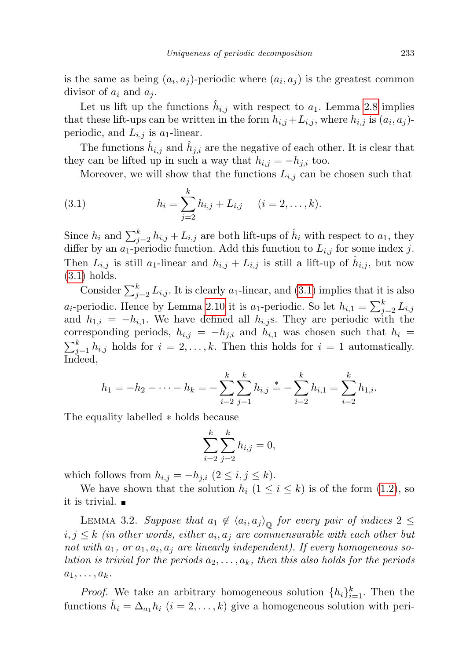is the same as being  $(a_i, a_j)$ -periodic where  $(a_i, a_j)$  is the greatest common divisor of  $a_i$  and  $a_j$ .

Let us lift up the functions  $\hat{h}_{i,j}$  with respect to  $a_1$ . Lemma [2.8](#page-5-1) implies that these lift-ups can be written in the form  $h_{i,j} + L_{i,j}$ , where  $h_{i,j}$  is  $(a_i, a_j)$ periodic, and  $L_{i,j}$  is  $a_1$ -linear.

The functions  $\hat{h}_{i,j}$  and  $\hat{h}_{j,i}$  are the negative of each other. It is clear that they can be lifted up in such a way that  $h_{i,j} = -h_{j,i}$  too.

<span id="page-8-1"></span>Moreover, we will show that the functions  $L_{i,j}$  can be chosen such that

(3.1) 
$$
h_i = \sum_{j=2}^k h_{i,j} + L_{i,j} \quad (i = 2, ..., k).
$$

Since  $h_i$  and  $\sum_{j=2}^{k} h_{i,j} + L_{i,j}$  are both lift-ups of  $\hat{h}_i$  with respect to  $a_1$ , they differ by an  $a_1$ -periodic function. Add this function to  $L_{i,j}$  for some index j. Then  $L_{i,j}$  is still  $a_1$ -linear and  $h_{i,j} + L_{i,j}$  is still a lift-up of  $\hat{h}_{i,j}$ , but now [\(3.1\)](#page-8-1) holds.

Consider  $\sum_{j=2}^{k} L_{i,j}$ . It is clearly  $a_1$ -linear, and [\(3.1\)](#page-8-1) implies that it is also *a<sub>i</sub>*-periodic. Hence by Lemma [2.10](#page-6-0) it is *a*<sub>1</sub>-periodic. So let  $h_{i,1} = \sum_{j=2}^{k} L_{i,j}$ and  $h_{1,i} = -h_{i,1}$ . We have defined all  $h_{i,j}$ s. They are periodic with the corresponding periods,  $h_{i,j} = -h_{j,i}$  and  $h_{i,1}$  was chosen such that  $h_i =$  $\sum_{j=1}^{k} h_{i,j}$  holds for  $i = 2, \ldots, k$ . Then this holds for  $i = 1$  automatically. Indeed,

$$
h_1 = -h_2 - \cdots - h_k = -\sum_{i=2}^k \sum_{j=1}^k h_{i,j} \stackrel{*}{=} -\sum_{i=2}^k h_{i,1} = \sum_{i=2}^k h_{1,i}.
$$

The equality labelled ∗ holds because

$$
\sum_{i=2}^{k} \sum_{j=2}^{k} h_{i,j} = 0,
$$

which follows from  $h_{i,j} = -h_{j,i}$   $(2 \leq i, j \leq k)$ .

We have shown that the solution  $h_i$   $(1 \leq i \leq k)$  is of the form  $(1.2)$ , so it is trivial.

<span id="page-8-0"></span>LEMMA 3.2. Suppose that  $a_1 \notin \langle a_i, a_j \rangle_{\mathbb{Q}}$  for every pair of indices  $2 \leq$  $i,j\leq k$  (in other words, either  $a_i,a_j$  are commensurable with each other but not with  $a_1$ , or  $a_1$ ,  $a_i$ ,  $a_j$  are linearly independent). If every homogeneous solution is trivial for the periods  $a_2, \ldots, a_k$ , then this also holds for the periods  $a_1, \ldots, a_k$ .

*Proof.* We take an arbitrary homogeneous solution  $\{h_i\}_{i=1}^k$ . Then the functions  $\hat{h}_i = \Delta_{a_1} h_i$   $(i = 2, ..., k)$  give a homogeneous solution with peri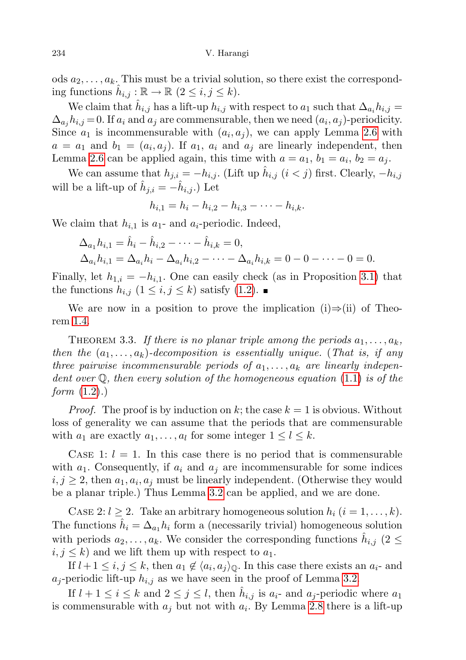ods  $a_2, \ldots, a_k$ . This must be a trivial solution, so there exist the corresponding functions  $\hat{h}_{i,j} : \mathbb{R} \to \mathbb{R} \ (2 \leq i, j \leq k).$ 

We claim that  $\hat{h}_{i,j}$  has a lift-up  $h_{i,j}$  with respect to  $a_1$  such that  $\Delta_{a_i} h_{i,j} =$  $\Delta_{a_j} h_{i,j} = 0$ . If  $a_i$  and  $a_j$  are commensurable, then we need  $(a_i, a_j)$ -periodicity. Since  $a_1$  is incommensurable with  $(a_i, a_j)$ , we can apply Lemma [2.6](#page-5-0) with  $a = a_1$  and  $b_1 = (a_i, a_j)$ . If  $a_1, a_i$  and  $a_j$  are linearly independent, then Lemma [2.6](#page-5-0) can be applied again, this time with  $a = a_1, b_1 = a_i, b_2 = a_j$ .

We can assume that  $h_{j,i} = -h_{i,j}$ . (Lift up  $\hat{h}_{i,j}$   $(i < j)$  first. Clearly,  $-h_{i,j}$ will be a lift-up of  $\hat{h}_{j,i} = -\hat{h}_{i,j}$ .) Let

$$
h_{i,1} = h_i - h_{i,2} - h_{i,3} - \cdots - h_{i,k}.
$$

We claim that  $h_{i,1}$  is  $a_1$ - and  $a_i$ -periodic. Indeed,

$$
\Delta_{a_1} h_{i,1} = \hat{h}_i - \hat{h}_{i,2} - \dots - \hat{h}_{i,k} = 0, \n\Delta_{a_i} h_{i,1} = \Delta_{a_i} h_i - \Delta_{a_i} h_{i,2} - \dots - \Delta_{a_i} h_{i,k} = 0 - 0 - \dots - 0 = 0.
$$

Finally, let  $h_{1,i} = -h_{i,1}$ . One can easily check (as in Proposition [3.1\)](#page-7-1) that the functions  $h_{i,j}$   $(1 \leq i,j \leq k)$  satisfy  $(1.2)$ .

We are now in a position to prove the implication (i)⇒(ii) of Theorem [1.4.](#page-3-0)

<span id="page-9-0"></span>THEOREM 3.3. If there is no planar triple among the periods  $a_1, \ldots, a_k$ , then the  $(a_1, \ldots, a_k)$ -decomposition is essentially unique. (That is, if any three pairwise incommensurable periods of  $a_1, \ldots, a_k$  are linearly independent over  $\mathbb Q$ , then every solution of the homogeneous equation [\(1.1\)](#page-0-0) is of the *form*  $(1.2).$  $(1.2).$ 

*Proof.* The proof is by induction on k; the case  $k = 1$  is obvious. Without loss of generality we can assume that the periods that are commensurable with  $a_1$  are exactly  $a_1, \ldots, a_l$  for some integer  $1 \leq l \leq k$ .

CASE 1:  $l = 1$ . In this case there is no period that is commensurable with  $a_1$ . Consequently, if  $a_i$  and  $a_j$  are incommensurable for some indices  $i, j \geq 2$ , then  $a_1, a_i, a_j$  must be linearly independent. (Otherwise they would be a planar triple.) Thus Lemma [3.2](#page-8-0) can be applied, and we are done.

CASE 2:  $l \geq 2$ . Take an arbitrary homogeneous solution  $h_i$   $(i = 1, ..., k)$ . The functions  $\hat{h}_i = \Delta_{a_1} h_i$  form a (necessarily trivial) homogeneous solution with periods  $a_2, \ldots, a_k$ . We consider the corresponding functions  $\hat{h}_{i,j}$  (2  $\leq$  $i, j \leq k$ ) and we lift them up with respect to  $a_1$ .

If  $l + 1 \leq i, j \leq k$ , then  $a_1 \notin \langle a_i, a_j \rangle_{\mathbb{Q}}$ . In this case there exists an  $a_i$ - and  $a_j$ -periodic lift-up  $h_{i,j}$  as we have seen in the proof of Lemma [3.2.](#page-8-0)

If  $l + 1 \leq i \leq k$  and  $2 \leq j \leq l$ , then  $\hat{h}_{i,j}$  is  $a_{i}$ - and  $a_{j}$ -periodic where  $a_{1}$ is commensurable with  $a_j$  but not with  $a_i$ . By Lemma [2.8](#page-5-1) there is a lift-up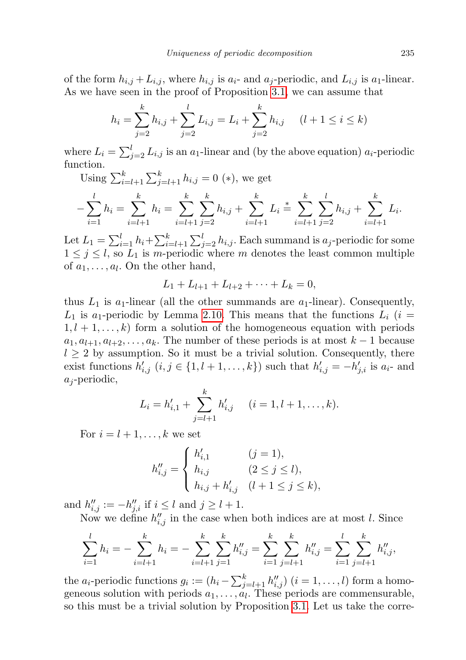of the form  $h_{i,j} + L_{i,j}$ , where  $h_{i,j}$  is  $a_i$ - and  $a_j$ -periodic, and  $L_{i,j}$  is  $a_1$ -linear. As we have seen in the proof of Proposition [3.1,](#page-7-1) we can assume that

$$
h_i = \sum_{j=2}^k h_{i,j} + \sum_{j=2}^l L_{i,j} = L_i + \sum_{j=2}^k h_{i,j} \quad (l+1 \le i \le k)
$$

where  $L_i = \sum_{j=2}^{l} L_{i,j}$  is an  $a_1$ -linear and (by the above equation)  $a_i$ -periodic function.

Using  $\sum_{i=l+1}^{k} \sum_{j=l+1}^{k} h_{i,j} = 0$  (\*), we get

$$
-\sum_{i=1}^{l} h_i = \sum_{i=l+1}^{k} h_i = \sum_{i=l+1}^{k} \sum_{j=2}^{k} h_{i,j} + \sum_{i=l+1}^{k} L_i \stackrel{*}{=} \sum_{i=l+1}^{k} \sum_{j=2}^{l} h_{i,j} + \sum_{i=l+1}^{k} L_i.
$$

Let  $L_1 = \sum_{i=1}^{l} h_i + \sum_{i=l+1}^{k} \sum_{j=2}^{l} h_{i,j}$ . Each summand is  $a_j$ -periodic for some  $1 \leq j \leq l$ , so  $L_1$  is m-periodic where m denotes the least common multiple of  $a_1, \ldots, a_l$ . On the other hand,

$$
L_1 + L_{l+1} + L_{l+2} + \cdots + L_k = 0,
$$

thus  $L_1$  is  $a_1$ -linear (all the other summands are  $a_1$ -linear). Consequently,  $L_1$  is a<sub>1</sub>-periodic by Lemma [2.10.](#page-6-0) This means that the functions  $L_i$  (i =  $1, l + 1, \ldots, k$  form a solution of the homogeneous equation with periods  $a_1, a_{l+1}, a_{l+2}, \ldots, a_k$ . The number of these periods is at most  $k-1$  because  $l \geq 2$  by assumption. So it must be a trivial solution. Consequently, there exist functions  $h'_{i,j}$   $(i, j \in \{1, l+1, \ldots, k\})$  such that  $h'_{i,j} = -h'_{j,i}$  is  $a_i$ - and  $a_j$ -periodic,

$$
L_i = h'_{i,1} + \sum_{j=l+1}^k h'_{i,j} \quad (i = 1, l+1, \dots, k).
$$

For  $i = l + 1, \ldots, k$  we set

$$
h''_{i,j} = \begin{cases} h'_{i,1} & (j = 1), \\ h_{i,j} & (2 \le j \le l), \\ h_{i,j} + h'_{i,j} & (l+1 \le j \le k), \end{cases}
$$

and  $h''_{i,j} := -h''_{j,i}$  if  $i \leq l$  and  $j \geq l+1$ .

Now we define  $h''_{i,j}$  in the case when both indices are at most l. Since

$$
\sum_{i=1}^{l} h_i = -\sum_{i=l+1}^{k} h_i = -\sum_{i=l+1}^{k} \sum_{j=1}^{k} h''_{i,j} = \sum_{i=1}^{k} \sum_{j=l+1}^{k} h''_{i,j} = \sum_{i=1}^{l} \sum_{j=l+1}^{k} h''_{i,j},
$$

the  $a_i$ -periodic functions  $g_i := (h_i - \sum_{j=l+1}^k h''_{i,j})$   $(i = 1, \ldots, l)$  form a homogeneous solution with periods  $a_1, \ldots, a_l$ . These periods are commensurable, so this must be a trivial solution by Proposition [3.1.](#page-7-1) Let us take the corre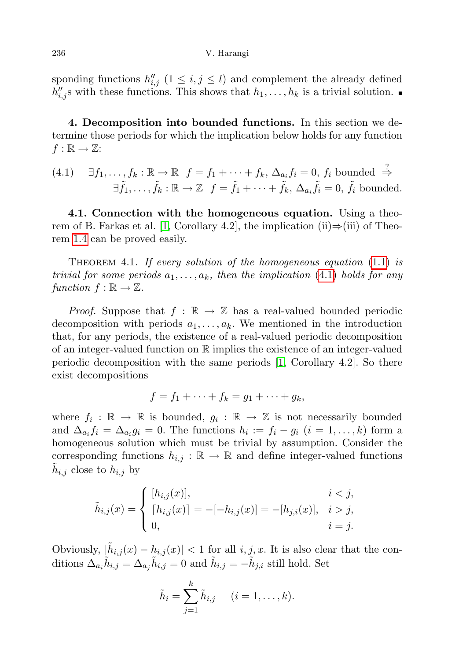sponding functions  $h''_{i,j}$   $(1 \leq i,j \leq l)$  and complement the already defined  $h''_{i,j}$ s with these functions. This shows that  $h_1, \ldots, h_k$  is a trivial solution.

<span id="page-11-0"></span>4. Decomposition into bounded functions. In this section we determine those periods for which the implication below holds for any function  $f : \mathbb{R} \to \mathbb{Z}$ :

<span id="page-11-2"></span>(4.1) 
$$
\exists f_1, \ldots, f_k : \mathbb{R} \to \mathbb{R}
$$
  $f = f_1 + \cdots + f_k$ ,  $\Delta_{a_i} f_i = 0$ ,  $f_i$  bounded  $\stackrel{?}{\Rightarrow}$   
 $\exists \tilde{f}_1, \ldots, \tilde{f}_k : \mathbb{R} \to \mathbb{Z}$   $f = \tilde{f}_1 + \cdots + \tilde{f}_k$ ,  $\Delta_{a_i} \tilde{f}_i = 0$ ,  $\tilde{f}_i$  bounded.

4.1. Connection with the homogeneous equation. Using a theo-rem of B. Farkas et al. [\[1,](#page-19-0) Corollary 4.2], the implication (ii)⇒(iii) of Theorem [1.4](#page-3-0) can be proved easily.

<span id="page-11-1"></span>THEOREM 4.1. If every solution of the homogeneous equation  $(1.1)$  is trivial for some periods  $a_1, \ldots, a_k$ , then the implication [\(4.1\)](#page-11-2) holds for any function  $f : \mathbb{R} \to \mathbb{Z}$ .

*Proof.* Suppose that  $f : \mathbb{R} \to \mathbb{Z}$  has a real-valued bounded periodic decomposition with periods  $a_1, \ldots, a_k$ . We mentioned in the introduction that, for any periods, the existence of a real-valued periodic decomposition of an integer-valued function on R implies the existence of an integer-valued periodic decomposition with the same periods [\[1,](#page-19-0) Corollary 4.2]. So there exist decompositions

$$
f=f_1+\cdots+f_k=g_1+\cdots+g_k,
$$

where  $f_i: \mathbb{R} \to \mathbb{R}$  is bounded,  $g_i: \mathbb{R} \to \mathbb{Z}$  is not necessarily bounded and  $\Delta_{a_i} f_i = \Delta_{a_i} g_i = 0$ . The functions  $h_i := f_i - g_i$   $(i = 1, ..., k)$  form a homogeneous solution which must be trivial by assumption. Consider the corresponding functions  $h_{i,j} : \mathbb{R} \to \mathbb{R}$  and define integer-valued functions  $\tilde{h}_{i,j}$  close to  $h_{i,j}$  by

$$
\tilde{h}_{i,j}(x) = \begin{cases}\n[h_{i,j}(x)], & i < j, \\
[h_{i,j}(x)] = -[-h_{i,j}(x)] = -[h_{j,i}(x)], & i > j, \\
0, & i = j.\n\end{cases}
$$

Obviously,  $|\tilde{h}_{i,j}(x) - h_{i,j}(x)| < 1$  for all  $i, j, x$ . It is also clear that the conditions  $\Delta_{a_i} \tilde{h}_{i,j} = \Delta_{a_j} \tilde{h}_{i,j} = 0$  and  $\tilde{h}_{i,j} = -\tilde{h}_{j,i}$  still hold. Set

$$
\tilde{h}_i = \sum_{j=1}^k \tilde{h}_{i,j} \quad (i = 1, \dots, k).
$$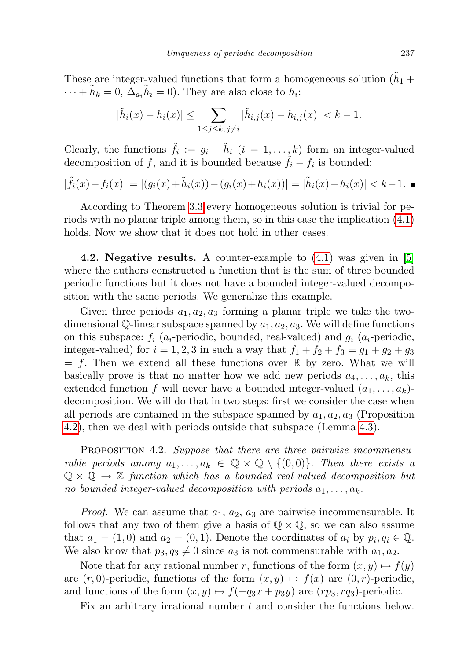These are integer-valued functions that form a homogeneous solution ( $\tilde{h}_1$ )  $\cdots + \tilde{h}_k = 0, \, \overline{\Delta}_{a_i} \tilde{h}_i = 0$ . They are also close to  $h_i$ :

$$
|\tilde{h}_i(x) - h_i(x)| \le \sum_{1 \le j \le k, \, j \ne i} |\tilde{h}_{i,j}(x) - h_{i,j}(x)| < k - 1.
$$

Clearly, the functions  $\tilde{f}_i := g_i + \tilde{h}_i$   $(i = 1, ..., k)$  form an integer-valued decomposition of f, and it is bounded because  $\tilde{f}_i - f_i$  is bounded:

$$
|\tilde{f}_i(x) - f_i(x)| = |(g_i(x) + \tilde{h}_i(x)) - (g_i(x) + h_i(x))| = |\tilde{h}_i(x) - h_i(x)| < k - 1.
$$

According to Theorem [3.3](#page-9-0) every homogeneous solution is trivial for periods with no planar triple among them, so in this case the implication [\(4.1\)](#page-11-2) holds. Now we show that it does not hold in other cases.

<span id="page-12-1"></span>4.2. Negative results. A counter-example to [\(4.1\)](#page-11-2) was given in [\[5\]](#page-19-1) where the authors constructed a function that is the sum of three bounded periodic functions but it does not have a bounded integer-valued decomposition with the same periods. We generalize this example.

Given three periods  $a_1, a_2, a_3$  forming a planar triple we take the twodimensional Q-linear subspace spanned by  $a_1, a_2, a_3$ . We will define functions on this subspace:  $f_i$  ( $a_i$ -periodic, bounded, real-valued) and  $g_i$  ( $a_i$ -periodic, integer-valued) for  $i = 1, 2, 3$  in such a way that  $f_1 + f_2 + f_3 = g_1 + g_2 + g_3$  $= f$ . Then we extend all these functions over  $\mathbb R$  by zero. What we will basically prove is that no matter how we add new periods  $a_4, \ldots, a_k$ , this extended function f will never have a bounded integer-valued  $(a_1, \ldots, a_k)$ decomposition. We will do that in two steps: first we consider the case when all periods are contained in the subspace spanned by  $a_1, a_2, a_3$  (Proposition [4.2\)](#page-12-0), then we deal with periods outside that subspace (Lemma [4.3\)](#page-14-0).

<span id="page-12-0"></span>PROPOSITION 4.2. Suppose that there are three pairwise incommensurable periods among  $a_1, \ldots, a_k \in \mathbb{Q} \times \mathbb{Q} \setminus \{(0,0)\}\$ . Then there exists a  $\mathbb{Q} \times \mathbb{Q} \to \mathbb{Z}$  function which has a bounded real-valued decomposition but no bounded integer-valued decomposition with periods  $a_1, \ldots, a_k$ .

*Proof.* We can assume that  $a_1, a_2, a_3$  are pairwise incommensurable. It follows that any two of them give a basis of  $\mathbb{Q} \times \mathbb{Q}$ , so we can also assume that  $a_1 = (1,0)$  and  $a_2 = (0,1)$ . Denote the coordinates of  $a_i$  by  $p_i, q_i \in \mathbb{Q}$ . We also know that  $p_3, q_3 \neq 0$  since  $a_3$  is not commensurable with  $a_1, a_2$ .

Note that for any rational number r, functions of the form  $(x, y) \mapsto f(y)$ are  $(r, 0)$ -periodic, functions of the form  $(x, y) \mapsto f(x)$  are  $(0, r)$ -periodic, and functions of the form  $(x, y) \mapsto f(-q_3x + p_3y)$  are  $(rp_3, rq_3)$ -periodic.

Fix an arbitrary irrational number t and consider the functions below.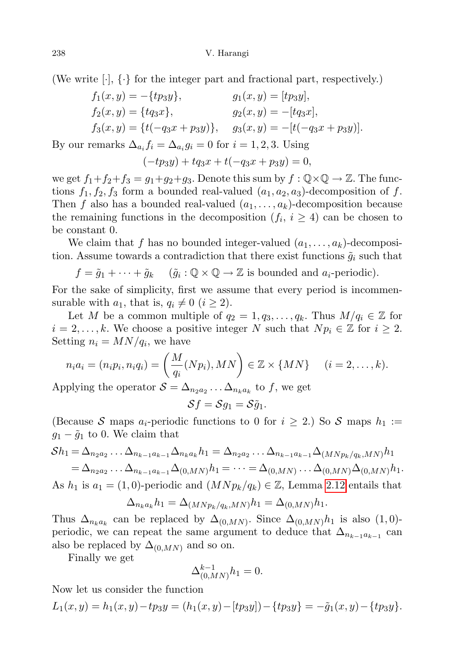(We write  $[\cdot]$ ,  $\{\cdot\}$  for the integer part and fractional part, respectively.)

$$
f_1(x, y) = -\{tp_3y\},
$$
  
\n
$$
f_2(x, y) = \{tq_3x\},
$$
  
\n
$$
f_3(x, y) = \{t(-q_3x + p_3y)\},
$$
  
\n
$$
g_1(x, y) = [tp_3y],
$$
  
\n
$$
g_2(x, y) = -[tq_3x],
$$
  
\n
$$
g_3(x, y) = -[t(-q_3x + p_3y)].
$$

By our remarks  $\Delta_{a_i} f_i = \Delta_{a_i} g_i = 0$  for  $i = 1, 2, 3$ . Using

$$
(-tp_3y) + tq_3x + t(-q_3x + p_3y) = 0,
$$

we get  $f_1+f_2+f_3=g_1+g_2+g_3$ . Denote this sum by  $f: \mathbb{Q} \times \mathbb{Q} \to \mathbb{Z}$ . The functions  $f_1, f_2, f_3$  form a bounded real-valued  $(a_1, a_2, a_3)$ -decomposition of f. Then f also has a bounded real-valued  $(a_1, \ldots, a_k)$ -decomposition because the remaining functions in the decomposition  $(f_i, i \geq 4)$  can be chosen to be constant 0.

We claim that f has no bounded integer-valued  $(a_1, \ldots, a_k)$ -decomposition. Assume towards a contradiction that there exist functions  $\tilde{g}_i$  such that

$$
f = \tilde{g}_1 + \cdots + \tilde{g}_k
$$
  $(\tilde{g}_i : \mathbb{Q} \times \mathbb{Q} \to \mathbb{Z} \text{ is bounded and } a_i\text{-periodic}).$ 

For the sake of simplicity, first we assume that every period is incommensurable with  $a_1$ , that is,  $q_i \neq 0$   $(i \geq 2)$ .

Let M be a common multiple of  $q_2 = 1, q_3, \ldots, q_k$ . Thus  $M/q_i \in \mathbb{Z}$  for  $i = 2, \ldots, k$ . We choose a positive integer N such that  $N p_i \in \mathbb{Z}$  for  $i \geq 2$ . Setting  $n_i = MN/q_i$ , we have

$$
n_i a_i = (n_i p_i, n_i q_i) = \left(\frac{M}{q_i}(N p_i), MN\right) \in \mathbb{Z} \times \{MN\} \quad (i = 2, \dots, k).
$$

Applying the operator  $S = \Delta_{n_2 a_2} \dots \Delta_{n_k a_k}$  to f, we get

$$
\mathcal{S}f=\mathcal{S}g_1=\mathcal{S}\tilde{g}_1.
$$

(Because S maps  $a_i$ -periodic functions to 0 for  $i \geq 2$ .) So S maps  $h_1 :=$  $g_1 - \tilde{g}_1$  to 0. We claim that

$$
\mathcal{S}h_1 = \Delta_{n_2 a_2} \dots \Delta_{n_{k-1} a_{k-1}} \Delta_{n_k a_k} h_1 = \Delta_{n_2 a_2} \dots \Delta_{n_{k-1} a_{k-1}} \Delta_{(M N p_k / q_k, M N)} h_1
$$
  
=  $\Delta_{n_2 a_2} \dots \Delta_{n_{k-1} a_{k-1}} \Delta_{(0, M N)} h_1 = \dots = \Delta_{(0, M N)} \dots \Delta_{(0, M N)} \Delta_{(0, M N)} h_1.$   
As  $h_1$  is  $a_1 = (1, 0)$ -periodic and  $(M N p_k / q_k) \in \mathbb{Z}$ , Lemma 2.12 entails that

$$
\Delta_{n_k a_k} h_1 = \Delta_{(M N p_k/q_k, MN)} h_1 = \Delta_{(0, MN)} h_1.
$$

Thus  $\Delta_{n_k a_k}$  can be replaced by  $\Delta_{(0,MN)}$ . Since  $\Delta_{(0,MN)}h_1$  is also  $(1,0)$ periodic, we can repeat the same argument to deduce that  $\Delta_{n_{k-1}a_{k-1}}$  can also be replaced by  $\Delta_{(0,MN)}$  and so on.

Finally we get

$$
\Delta^{k-1}_{(0, MN)}h_1=0.
$$

Now let us consider the function

$$
L_1(x,y) = h_1(x,y) - tp_3y = (h_1(x,y) - [tp_3y]) - \{tp_3y\} = -\tilde{g}_1(x,y) - \{tp_3y\}.
$$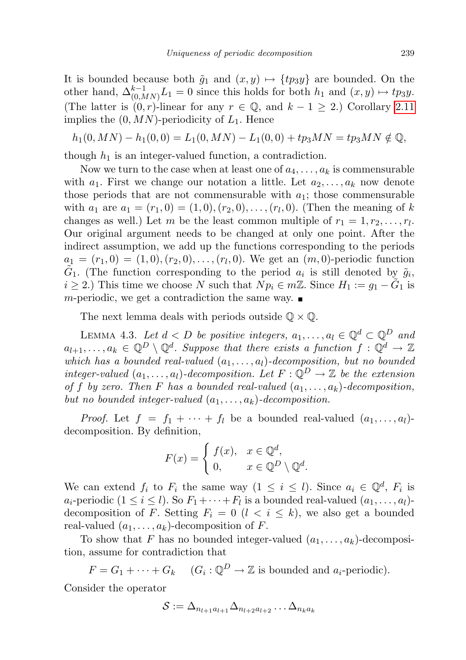It is bounded because both  $\tilde{g}_1$  and  $(x, y) \mapsto \{tp_3y\}$  are bounded. On the other hand,  $\Delta_{(0,MN)}^{k-1}L_1=0$  since this holds for both  $h_1$  and  $(x,y) \mapsto tp_3y$ . (The latter is  $(0, r)$ -linear for any  $r \in \mathbb{Q}$ , and  $k - 1 \geq 2$ .) Corollary [2.11](#page-7-3) implies the  $(0, MN)$ -periodicity of  $L_1$ . Hence

$$
h_1(0, MN) - h_1(0, 0) = L_1(0, MN) - L_1(0, 0) + tp_3MN = tp_3MN \notin \mathbb{Q},
$$

though  $h_1$  is an integer-valued function, a contradiction.

Now we turn to the case when at least one of  $a_4, \ldots, a_k$  is commensurable with  $a_1$ . First we change our notation a little. Let  $a_2, \ldots, a_k$  now denote those periods that are not commensurable with  $a_1$ ; those commensurable with  $a_1$  are  $a_1 = (r_1, 0) = (1, 0), (r_2, 0), \ldots, (r_l, 0)$ . (Then the meaning of k changes as well.) Let m be the least common multiple of  $r_1 = 1, r_2, \ldots, r_l$ . Our original argument needs to be changed at only one point. After the indirect assumption, we add up the functions corresponding to the periods  $a_1 = (r_1, 0) = (1, 0), (r_2, 0), \ldots, (r_l, 0)$ . We get an  $(m, 0)$ -periodic function  $\tilde{G}_1$ . (The function corresponding to the period  $a_i$  is still denoted by  $\tilde{g}_i$ ,  $i \geq 2$ .) This time we choose N such that  $N p_i \in m \mathbb{Z}$ . Since  $H_1 := g_1 - \tilde{G}_1$  is m-periodic, we get a contradiction the same way.  $\blacksquare$ 

The next lemma deals with periods outside  $\mathbb{Q} \times \mathbb{Q}$ .

<span id="page-14-0"></span>LEMMA 4.3. Let  $d < D$  be positive integers,  $a_1, \ldots, a_l \in \mathbb{Q}^d \subset \mathbb{Q}^D$  and  $a_{l+1}, \ldots, a_k \in \mathbb{Q}^D \setminus \mathbb{Q}^d$ . Suppose that there exists a function  $f: \mathbb{Q}^d \to \mathbb{Z}$ which has a bounded real-valued  $(a_1, \ldots, a_l)$ -decomposition, but no bounded integer-valued  $(a_1, \ldots, a_l)$ -decomposition. Let  $F: \mathbb{Q}^D \to \mathbb{Z}$  be the extension of f by zero. Then F has a bounded real-valued  $(a_1, \ldots, a_k)$ -decomposition, but no bounded integer-valued  $(a_1, \ldots, a_k)$ -decomposition.

*Proof.* Let  $f = f_1 + \cdots + f_l$  be a bounded real-valued  $(a_1, \ldots, a_l)$ decomposition. By definition,

$$
F(x) = \begin{cases} f(x), & x \in \mathbb{Q}^d, \\ 0, & x \in \mathbb{Q}^D \setminus \mathbb{Q}^d. \end{cases}
$$

We can extend  $f_i$  to  $F_i$  the same way  $(1 \leq i \leq l)$ . Since  $a_i \in \mathbb{Q}^d$ ,  $F_i$  is  $a_i$ -periodic  $(1 \leq i \leq l)$ . So  $F_1 + \cdots + F_l$  is a bounded real-valued  $(a_1, \ldots, a_l)$ decomposition of F. Setting  $F_i = 0$   $(l \lt i \leq k)$ , we also get a bounded real-valued  $(a_1, \ldots, a_k)$ -decomposition of F.

To show that F has no bounded integer-valued  $(a_1, \ldots, a_k)$ -decomposition, assume for contradiction that

 $F = G_1 + \cdots + G_k \quad (G_i : \mathbb{Q}^D \to \mathbb{Z} \text{ is bounded and } a_i\text{-periodic}).$ 

Consider the operator

$$
\mathcal{S} := \Delta_{n_{l+1}a_{l+1}}\Delta_{n_{l+2}a_{l+2}}\ldots\Delta_{n_ka_k}
$$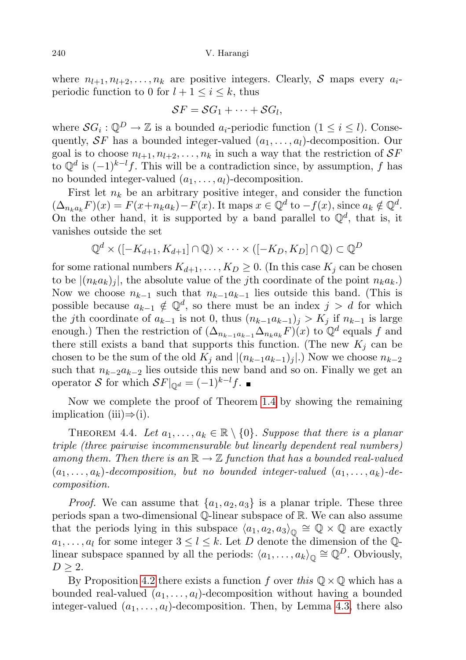where  $n_{l+1}, n_{l+2}, \ldots, n_k$  are positive integers. Clearly, S maps every  $a_i$ periodic function to 0 for  $l + 1 \leq i \leq k$ , thus

$$
SF = SG_1 + \cdots + SG_l,
$$

where  $SG_i : \mathbb{Q}^D \to \mathbb{Z}$  is a bounded  $a_i$ -periodic function  $(1 \leq i \leq l)$ . Consequently,  $SF$  has a bounded integer-valued  $(a_1, \ldots, a_l)$ -decomposition. Our goal is to choose  $n_{l+1}, n_{l+2}, \ldots, n_k$  in such a way that the restriction of  $\mathcal{S}F$ to  $\mathbb{Q}^d$  is  $(-1)^{k-l}f$ . This will be a contradiction since, by assumption, f has no bounded integer-valued  $(a_1, \ldots, a_l)$ -decomposition.

First let  $n_k$  be an arbitrary positive integer, and consider the function  $(\Delta_{n_k a_k} F)(x) = F(x + n_k a_k) - F(x)$ . It maps  $x \in \mathbb{Q}^d$  to  $-f(x)$ , since  $a_k \notin \mathbb{Q}^d$ . On the other hand, it is supported by a band parallel to  $\mathbb{Q}^d$ , that is, it vanishes outside the set

$$
\mathbb{Q}^d \times ([-K_{d+1}, K_{d+1}] \cap \mathbb{Q}) \times \cdots \times ([-K_D, K_D] \cap \mathbb{Q}) \subset \mathbb{Q}^D
$$

for some rational numbers  $K_{d+1}, \ldots, K_D \geq 0$ . (In this case  $K_j$  can be chosen to be  $|(n_k a_k)_j|$ , the absolute value of the *j*th coordinate of the point  $n_k a_k$ .) Now we choose  $n_{k-1}$  such that  $n_{k-1}a_{k-1}$  lies outside this band. (This is possible because  $a_{k-1} \notin \mathbb{Q}^d$ , so there must be an index  $j > d$  for which the j<sup>th</sup> coordinate of  $a_{k-1}$  is not 0, thus  $(n_{k-1}a_{k-1})_j > K_j$  if  $n_{k-1}$  is large enough.) Then the restriction of  $(\Delta_{n_{k-1}a_{k-1}}\Delta_{n_ka_k}F)(x)$  to  $\mathbb{Q}^d$  equals f and there still exists a band that supports this function. (The new  $K_i$  can be chosen to be the sum of the old  $K_j$  and  $|(n_{k-1}a_{k-1})_j|$ .) Now we choose  $n_{k-2}$ such that  $n_{k-2}a_{k-2}$  lies outside this new band and so on. Finally we get an operator S for which  $SF|_{\mathbb{Q}^d} = (-1)^{k-l} f$ . ■

Now we complete the proof of Theorem [1.4](#page-3-0) by showing the remaining implication (iii) $\Rightarrow$ (i).

<span id="page-15-0"></span>THEOREM 4.4. Let  $a_1, \ldots, a_k \in \mathbb{R} \setminus \{0\}$ . Suppose that there is a planar triple (three pairwise incommensurable but linearly dependent real numbers) among them. Then there is an  $\mathbb{R} \to \mathbb{Z}$  function that has a bounded real-valued  $(a_1, \ldots, a_k)$ -decomposition, but no bounded integer-valued  $(a_1, \ldots, a_k)$ -decomposition.

*Proof.* We can assume that  $\{a_1, a_2, a_3\}$  is a planar triple. These three periods span a two-dimensional Q-linear subspace of R. We can also assume that the periods lying in this subspace  $\langle a_1, a_2, a_3 \rangle_{\mathbb{Q}} \cong \mathbb{Q} \times \mathbb{Q}$  are exactly  $a_1, \ldots, a_l$  for some integer  $3 \leq l \leq k$ . Let D denote the dimension of the Qlinear subspace spanned by all the periods:  $\langle a_1, \ldots, a_k \rangle_{\mathbb{Q}} \cong \mathbb{Q}^D$ . Obviously,  $D \geq 2$ .

By Proposition [4.2](#page-12-0) there exists a function f over this  $\mathbb{Q} \times \mathbb{Q}$  which has a bounded real-valued  $(a_1, \ldots, a_l)$ -decomposition without having a bounded integer-valued  $(a_1, \ldots, a_l)$ -decomposition. Then, by Lemma [4.3,](#page-14-0) there also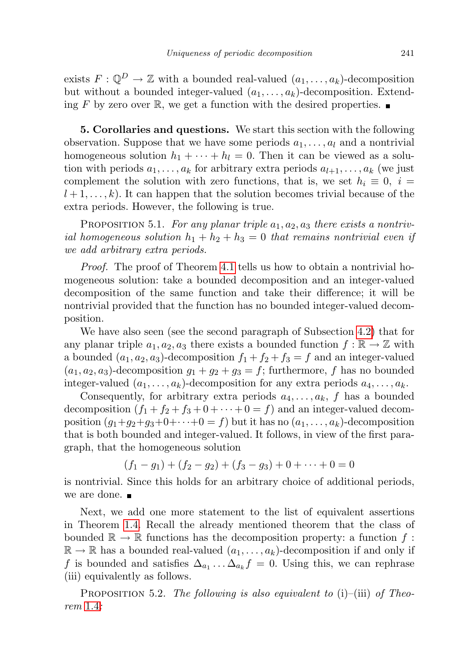exists  $F: \mathbb{Q}^D \to \mathbb{Z}$  with a bounded real-valued  $(a_1, \ldots, a_k)$ -decomposition but without a bounded integer-valued  $(a_1, \ldots, a_k)$ -decomposition. Extending F by zero over R, we get a function with the desired properties.  $\blacksquare$ 

<span id="page-16-0"></span>5. Corollaries and questions. We start this section with the following observation. Suppose that we have some periods  $a_1, \ldots, a_l$  and a nontrivial homogeneous solution  $h_1 + \cdots + h_l = 0$ . Then it can be viewed as a solution with periods  $a_1, \ldots, a_k$  for arbitrary extra periods  $a_{l+1}, \ldots, a_k$  (we just complement the solution with zero functions, that is, we set  $h_i \equiv 0, i =$  $l+1,\ldots,k$ ). It can happen that the solution becomes trivial because of the extra periods. However, the following is true.

PROPOSITION 5.1. For any planar triple  $a_1, a_2, a_3$  there exists a nontrivial homogeneous solution  $h_1 + h_2 + h_3 = 0$  that remains nontrivial even if we add arbitrary extra periods.

Proof. The proof of Theorem [4.1](#page-11-1) tells us how to obtain a nontrivial homogeneous solution: take a bounded decomposition and an integer-valued decomposition of the same function and take their difference; it will be nontrivial provided that the function has no bounded integer-valued decomposition.

We have also seen (see the second paragraph of Subsection [4.2\)](#page-12-1) that for any planar triple  $a_1, a_2, a_3$  there exists a bounded function  $f : \mathbb{R} \to \mathbb{Z}$  with a bounded  $(a_1, a_2, a_3)$ -decomposition  $f_1 + f_2 + f_3 = f$  and an integer-valued  $(a_1, a_2, a_3)$ -decomposition  $g_1 + g_2 + g_3 = f$ ; furthermore, f has no bounded integer-valued  $(a_1, \ldots, a_k)$ -decomposition for any extra periods  $a_4, \ldots, a_k$ .

Consequently, for arbitrary extra periods  $a_4, \ldots, a_k$ , f has a bounded decomposition  $(f_1 + f_2 + f_3 + 0 + \cdots + 0 = f)$  and an integer-valued decomposition  $(q_1+q_2+q_3+0+\cdots+0=f)$  but it has no  $(a_1,\ldots,a_k)$ -decomposition that is both bounded and integer-valued. It follows, in view of the first paragraph, that the homogeneous solution

$$
(f_1 - g_1) + (f_2 - g_2) + (f_3 - g_3) + 0 + \dots + 0 = 0
$$

is nontrivial. Since this holds for an arbitrary choice of additional periods, we are done.  $\blacksquare$ 

Next, we add one more statement to the list of equivalent assertions in Theorem [1.4.](#page-3-0) Recall the already mentioned theorem that the class of bounded  $\mathbb{R} \to \mathbb{R}$  functions has the decomposition property: a function f:  $\mathbb{R} \to \mathbb{R}$  has a bounded real-valued  $(a_1, \ldots, a_k)$ -decomposition if and only if f is bounded and satisfies  $\Delta_{a_1} \ldots \Delta_{a_k} f = 0$ . Using this, we can rephrase (iii) equivalently as follows.

<span id="page-16-1"></span>PROPOSITION 5.2. The following is also equivalent to  $(i)$ – $(iii)$  of Theorem [1.4](#page-3-0):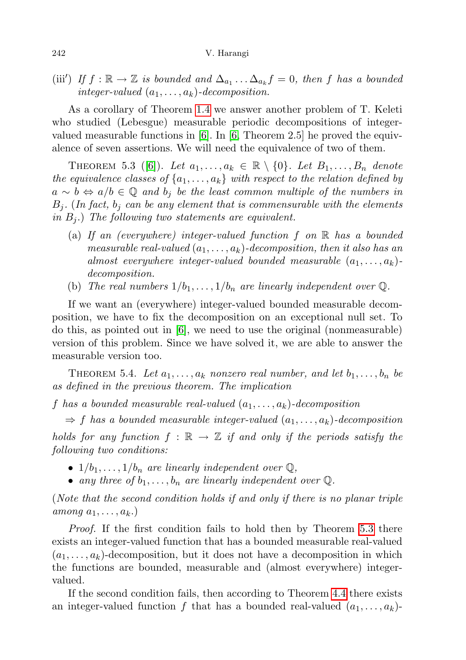(iii') If  $f : \mathbb{R} \to \mathbb{Z}$  is bounded and  $\Delta_{a_1} \ldots \Delta_{a_k} f = 0$ , then f has a bounded integer-valued  $(a_1, \ldots, a_k)$ -decomposition.

As a corollary of Theorem [1.4](#page-3-0) we answer another problem of T. Keleti who studied (Lebesgue) measurable periodic decompositions of integervalued measurable functions in [\[6\]](#page-19-2). In [\[6,](#page-19-2) Theorem 2.5] he proved the equivalence of seven assertions. We will need the equivalence of two of them.

<span id="page-17-1"></span>THEOREM 5.3 ([\[6\]](#page-19-2)). Let  $a_1, \ldots, a_k \in \mathbb{R} \setminus \{0\}$ . Let  $B_1, \ldots, B_n$  denote the equivalence classes of  $\{a_1, \ldots, a_k\}$  with respect to the relation defined by  $a \sim b \Leftrightarrow a/b \in \mathbb{Q}$  and  $b_j$  be the least common multiple of the numbers in  $B_i$ . (In fact,  $b_i$  can be any element that is commensurable with the elements in  $B_i$ .) The following two statements are equivalent.

- (a) If an (everywhere) integer-valued function f on  $\mathbb R$  has a bounded measurable real-valued  $(a_1, \ldots, a_k)$ -decomposition, then it also has an almost everywhere integer-valued bounded measurable  $(a_1, \ldots, a_k)$ decomposition.
- (b) The real numbers  $1/b_1, \ldots, 1/b_n$  are linearly independent over Q.

If we want an (everywhere) integer-valued bounded measurable decomposition, we have to fix the decomposition on an exceptional null set. To do this, as pointed out in  $[6]$ , we need to use the original (nonmeasurable) version of this problem. Since we have solved it, we are able to answer the measurable version too.

<span id="page-17-0"></span>THEOREM 5.4. Let  $a_1, \ldots, a_k$  nonzero real number, and let  $b_1, \ldots, b_n$  be as defined in the previous theorem. The implication

f has a bounded measurable real-valued  $(a_1, \ldots, a_k)$ -decomposition

 $\Rightarrow$  f has a bounded measurable integer-valued  $(a_1, \ldots, a_k)$ -decomposition holds for any function  $f : \mathbb{R} \to \mathbb{Z}$  if and only if the periods satisfy the following two conditions:

- $1/b_1, \ldots, 1/b_n$  are linearly independent over  $\mathbb{Q}$ ,
- any three of  $b_1, \ldots, b_n$  are linearly independent over  $\mathbb Q$ .

(Note that the second condition holds if and only if there is no planar triple among  $a_1, \ldots, a_k$ .)

Proof. If the first condition fails to hold then by Theorem [5.3](#page-17-1) there exists an integer-valued function that has a bounded measurable real-valued  $(a_1, \ldots, a_k)$ -decomposition, but it does not have a decomposition in which the functions are bounded, measurable and (almost everywhere) integervalued.

If the second condition fails, then according to Theorem [4.4](#page-15-0) there exists an integer-valued function f that has a bounded real-valued  $(a_1, \ldots, a_k)$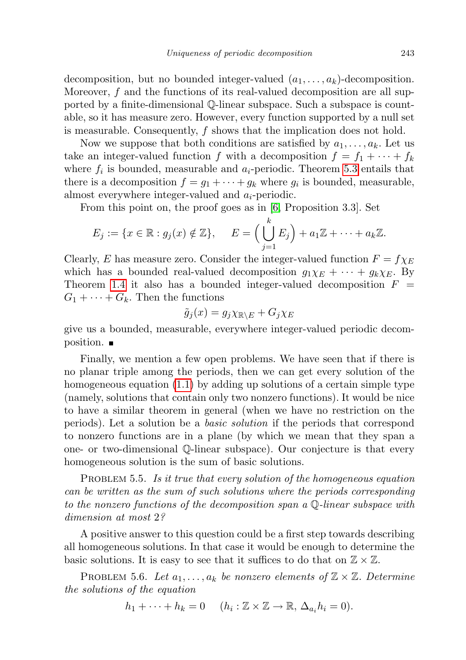decomposition, but no bounded integer-valued  $(a_1, \ldots, a_k)$ -decomposition. Moreover, f and the functions of its real-valued decomposition are all supported by a finite-dimensional Q-linear subspace. Such a subspace is countable, so it has measure zero. However, every function supported by a null set is measurable. Consequently, f shows that the implication does not hold.

Now we suppose that both conditions are satisfied by  $a_1, \ldots, a_k$ . Let us take an integer-valued function f with a decomposition  $f = f_1 + \cdots + f_k$ where  $f_i$  is bounded, measurable and  $a_i$ -periodic. Theorem [5.3](#page-17-1) entails that there is a decomposition  $f = g_1 + \cdots + g_k$  where  $g_i$  is bounded, measurable, almost everywhere integer-valued and  $a_i$ -periodic.

From this point on, the proof goes as in [\[6,](#page-19-2) Proposition 3.3]. Set

$$
E_j := \{x \in \mathbb{R} : g_j(x) \notin \mathbb{Z}\}, \quad E = \Big(\bigcup_{j=1}^k E_j\Big) + a_1 \mathbb{Z} + \cdots + a_k \mathbb{Z}.
$$

Clearly, E has measure zero. Consider the integer-valued function  $F = f \chi_E$ which has a bounded real-valued decomposition  $g_1\chi_E + \cdots + g_k\chi_E$ . By Theorem [1.4](#page-3-0) it also has a bounded integer-valued decomposition  $F =$  $G_1 + \cdots + G_k$ . Then the functions

$$
\tilde{g}_j(x) = g_j \chi_{\mathbb{R} \setminus E} + G_j \chi_E
$$

give us a bounded, measurable, everywhere integer-valued periodic decomposition.

Finally, we mention a few open problems. We have seen that if there is no planar triple among the periods, then we can get every solution of the homogeneous equation [\(1.1\)](#page-0-0) by adding up solutions of a certain simple type (namely, solutions that contain only two nonzero functions). It would be nice to have a similar theorem in general (when we have no restriction on the periods). Let a solution be a basic solution if the periods that correspond to nonzero functions are in a plane (by which we mean that they span a one- or two-dimensional Q-linear subspace). Our conjecture is that every homogeneous solution is the sum of basic solutions.

PROBLEM 5.5. Is it true that every solution of the homogeneous equation can be written as the sum of such solutions where the periods corresponding to the nonzero functions of the decomposition span a Q-linear subspace with dimension at most 2?

A positive answer to this question could be a first step towards describing all homogeneous solutions. In that case it would be enough to determine the basic solutions. It is easy to see that it suffices to do that on  $\mathbb{Z} \times \mathbb{Z}$ .

PROBLEM 5.6. Let  $a_1, \ldots, a_k$  be nonzero elements of  $\mathbb{Z} \times \mathbb{Z}$ . Determine the solutions of the equation

$$
h_1 + \cdots + h_k = 0 \quad (h_i: \mathbb{Z} \times \mathbb{Z} \to \mathbb{R}, \Delta_{a_i} h_i = 0).
$$